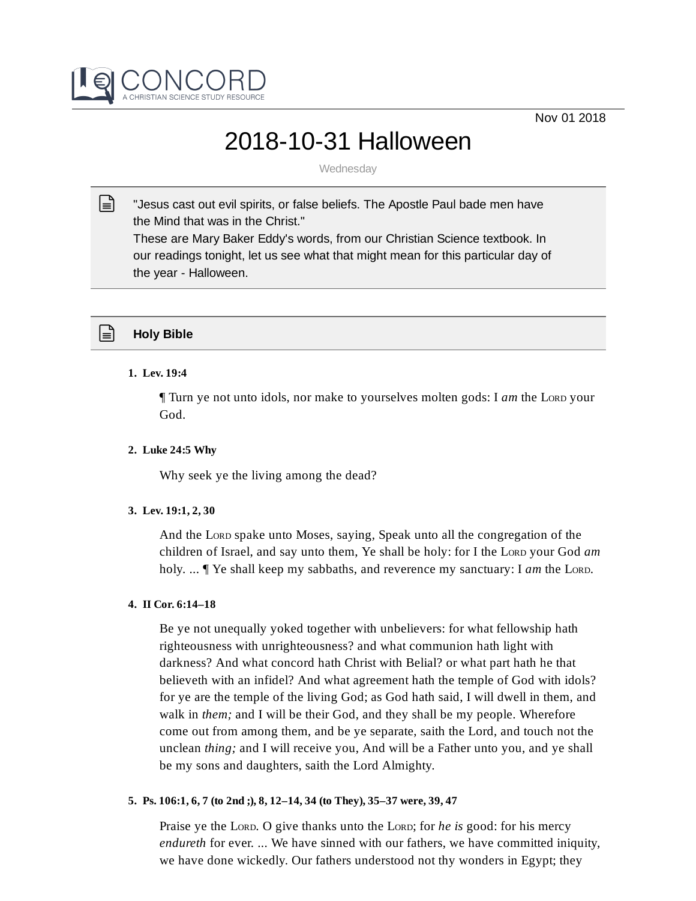



# 2018-10-31 Halloween

**Wednesday** 

"Jesus cast out evil spirits, or false beliefs. The Apostle Paul bade men have the Mind that was in the Christ."  $\mathbb{R}$ 

These are Mary Baker Eddy's words, from our Christian Science textbook. In our readings tonight, let us see what that might mean for this particular day of the year - Halloween.

# **Holy Bible**

# **1. Lev. 19:4**

¶ Turn ye not unto idols, nor make to yourselves molten gods: I *am* the LORD your God.

## **2. Luke 24:5 Why**

Why seek ye the living among the dead?

# **3. Lev. 19:1, 2, 30**

And the LORD spake unto Moses, saying, Speak unto all the congregation of the children of Israel, and say unto them, Ye shall be holy: for I the LORD your God *am* holy. ... ¶ Ye shall keep my sabbaths, and reverence my sanctuary: I *am* the LORD.

## **4. II Cor. 6:14–18**

Be ye not unequally yoked together with unbelievers: for what fellowship hath righteousness with unrighteousness? and what communion hath light with darkness? And what concord hath Christ with Belial? or what part hath he that believeth with an infidel? And what agreement hath the temple of God with idols? for ye are the temple of the living God; as God hath said, I will dwell in them, and walk in *them;* and I will be their God, and they shall be my people. Wherefore come out from among them, and be ye separate, saith the Lord, and touch not the unclean *thing;* and I will receive you, And will be a Father unto you, and ye shall be my sons and daughters, saith the Lord Almighty.

# **5. Ps. 106:1, 6, 7 (to 2nd ;), 8, 12–14, 34 (to They), 35–37 were, 39, 47**

Praise ye the LORD. O give thanks unto the LORD; for *he is* good: for his mercy *endureth* for ever. ... We have sinned with our fathers, we have committed iniquity, we have done wickedly. Our fathers understood not thy wonders in Egypt; they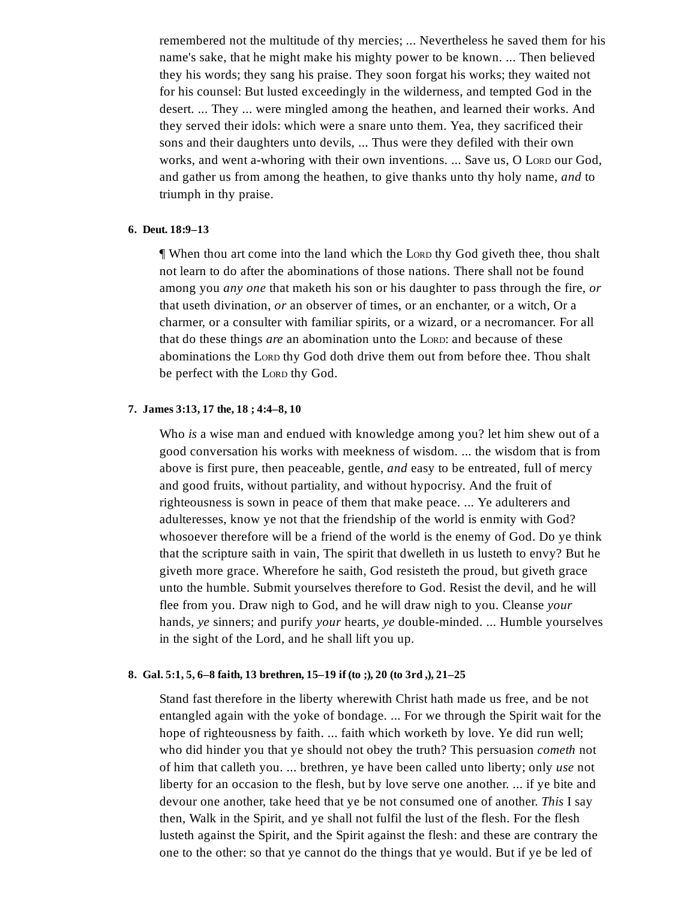remembered not the multitude of thy mercies; ... Nevertheless he saved them for his name's sake, that he might make his mighty power to be known. ... Then believed they his words; they sang his praise. They soon forgat his works; they waited not for his counsel: But lusted exceedingly in the wilderness, and tempted God in the desert. ... They ... were mingled among the heathen, and learned their works. And they served their idols: which were a snare unto them. Yea, they sacrificed their sons and their daughters unto devils, ... Thus were they defiled with their own works, and went a-whoring with their own inventions. ... Save us, O LORD our God, and gather us from among the heathen, to give thanks unto thy holy name, *and* to triumph in thy praise.

#### **6. Deut. 18:9–13**

¶ When thou art come into the land which the LORD thy God giveth thee, thou shalt not learn to do after the abominations of those nations. There shall not be found among you *any one* that maketh his son or his daughter to pass through the fire, *or* that useth divination, *or* an observer of times, or an enchanter, or a witch, Or a charmer, or a consulter with familiar spirits, or a wizard, or a necromancer. For all that do these things *are* an abomination unto the LORD: and because of these abominations the LORD thy God doth drive them out from before thee. Thou shalt be perfect with the LORD thy God.

### **7. James 3:13, 17 the, 18 ; 4:4–8, 10**

Who *is* a wise man and endued with knowledge among you? let him shew out of a good conversation his works with meekness of wisdom. ... the wisdom that is from above is first pure, then peaceable, gentle, *and* easy to be entreated, full of mercy and good fruits, without partiality, and without hypocrisy. And the fruit of righteousness is sown in peace of them that make peace. ... Ye adulterers and adulteresses, know ye not that the friendship of the world is enmity with God? whosoever therefore will be a friend of the world is the enemy of God. Do ye think that the scripture saith in vain, The spirit that dwelleth in us lusteth to envy? But he giveth more grace. Wherefore he saith, God resisteth the proud, but giveth grace unto the humble. Submit yourselves therefore to God. Resist the devil, and he will flee from you. Draw nigh to God, and he will draw nigh to you. Cleanse *your* hands, *ye* sinners; and purify *your* hearts, *ye* double-minded. ... Humble yourselves in the sight of the Lord, and he shall lift you up.

## **8. Gal. 5:1, 5, 6–8 faith, 13 brethren, 15–19 if (to ;), 20 (to 3rd ,), 21–25**

Stand fast therefore in the liberty wherewith Christ hath made us free, and be not entangled again with the yoke of bondage. ... For we through the Spirit wait for the hope of righteousness by faith. ... faith which worketh by love. Ye did run well; who did hinder you that ye should not obey the truth? This persuasion *cometh* not of him that calleth you. ... brethren, ye have been called unto liberty; only *use* not liberty for an occasion to the flesh, but by love serve one another. ... if ye bite and devour one another, take heed that ye be not consumed one of another. *This* I say then, Walk in the Spirit, and ye shall not fulfil the lust of the flesh. For the flesh lusteth against the Spirit, and the Spirit against the flesh: and these are contrary the one to the other: so that ye cannot do the things that ye would. But if ye be led of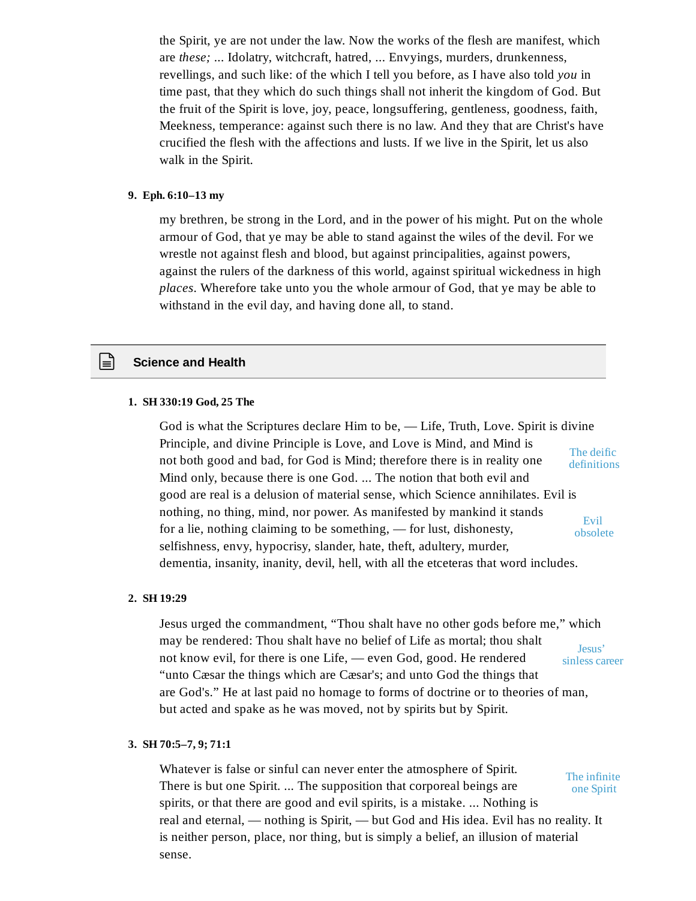the Spirit, ye are not under the law. Now the works of the flesh are manifest, which are *these;* ... Idolatry, witchcraft, hatred, ... Envyings, murders, drunkenness, revellings, and such like: of the which I tell you before, as I have also told *you* in time past, that they which do such things shall not inherit the kingdom of God. But the fruit of the Spirit is love, joy, peace, longsuffering, gentleness, goodness, faith, Meekness, temperance: against such there is no law. And they that are Christ's have crucified the flesh with the affections and lusts. If we live in the Spirit, let us also walk in the Spirit.

#### **9. Eph. 6:10–13 my**

my brethren, be strong in the Lord, and in the power of his might. Put on the whole armour of God, that ye may be able to stand against the wiles of the devil. For we wrestle not against flesh and blood, but against principalities, against powers, against the rulers of the darkness of this world, against spiritual wickedness in high *places*. Wherefore take unto you the whole armour of God, that ye may be able to withstand in the evil day, and having done all, to stand.

## **Science and Health**

## **1. SH 330:19 God, 25 The**

God is what the Scriptures declare Him to be, — Life, Truth, Love. Spirit is divine Principle, and divine Principle is Love, and Love is Mind, and Mind is not both good and bad, for God is Mind; therefore there is in reality one Mind only, because there is one God. ... The notion that both evil and good are real is a delusion of material sense, which Science annihilates. Evil is nothing, no thing, mind, nor power. As manifested by mankind it stands for a lie, nothing claiming to be something, — for lust, dishonesty, selfishness, envy, hypocrisy, slander, hate, theft, adultery, murder, dementia, insanity, inanity, devil, hell, with all the etceteras that word includes. The deific definitions Evil obsolete

#### **2. SH 19:29**

Jesus urged the commandment, "Thou shalt have no other gods before me," which may be rendered: Thou shalt have no belief of Life as mortal; thou shalt not know evil, for there is one Life, — even God, good. He rendered "unto Cæsar the things which are Cæsar's; and unto God the things that are God's." He at last paid no homage to forms of doctrine or to theories of man, but acted and spake as he was moved, not by spirits but by Spirit. Jesus' sinless career

#### **3. SH 70:5–7, 9; 71:1**

Whatever is false or sinful can never enter the atmosphere of Spirit. There is but one Spirit. ... The supposition that corporeal beings are spirits, or that there are good and evil spirits, is a mistake. ... Nothing is real and eternal, — nothing is Spirit, — but God and His idea. Evil has no reality. It is neither person, place, nor thing, but is simply a belief, an illusion of material sense. The infinite one Spirit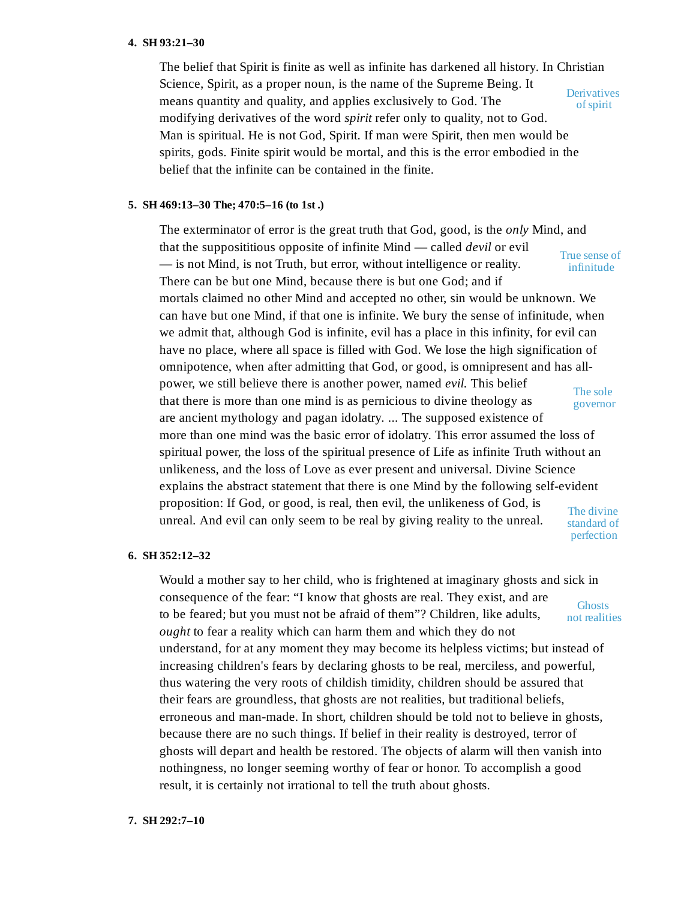#### **4. SH 93:21–30**

The belief that Spirit is finite as well as infinite has darkened all history. In Christian Science, Spirit, as a proper noun, is the name of the Supreme Being. It means quantity and quality, and applies exclusively to God. The modifying derivatives of the word *spirit* refer only to quality, not to God. Man is spiritual. He is not God, Spirit. If man were Spirit, then men would be spirits, gods. Finite spirit would be mortal, and this is the error embodied in the belief that the infinite can be contained in the finite. **Derivatives** ofspirit

## **5. SH 469:13–30 The; 470:5–16 (to 1st .)**

The exterminator of error is the great truth that God, good, is the *only* Mind, and that the supposititious opposite of infinite Mind — called *devil* or evil — is not Mind, is not Truth, but error, without intelligence or reality. There can be but one Mind, because there is but one God; and if mortals claimed no other Mind and accepted no other, sin would be unknown. We can have but one Mind, if that one is infinite. We bury the sense of infinitude, when we admit that, although God is infinite, evil has a place in this infinity, for evil can have no place, where all space is filled with God. We lose the high signification of omnipotence, when after admitting that God, or good, is omnipresent and has allpower, we still believe there is another power, named *evil.* This belief that there is more than one mind is as pernicious to divine theology as are ancient mythology and pagan idolatry. ... The supposed existence of more than one mind was the basic error of idolatry. This error assumed the loss of spiritual power, the loss of the spiritual presence of Life as infinite Truth without an unlikeness, and the loss of Love as ever present and universal. Divine Science explains the abstract statement that there is one Mind by the following self-evident proposition: If God, or good, is real, then evil, the unlikeness of God, is unreal. And evil can only seem to be real by giving reality to the unreal. True sense of infinitude The sole governor The divine standard of perfection

#### **6. SH 352:12–32**

Would a mother say to her child, who is frightened at imaginary ghosts and sick in consequence of the fear: "I know that ghosts are real. They exist, and are to be feared; but you must not be afraid of them"? Children, like adults, *ought* to fear a reality which can harm them and which they do not understand, for at any moment they may become its helpless victims; but instead of increasing children's fears by declaring ghosts to be real, merciless, and powerful, thus watering the very roots of childish timidity, children should be assured that their fears are groundless, that ghosts are not realities, but traditional beliefs, erroneous and man-made. In short, children should be told not to believe in ghosts, because there are no such things. If belief in their reality is destroyed, terror of ghosts will depart and health be restored. The objects of alarm will then vanish into nothingness, no longer seeming worthy of fear or honor. To accomplish a good result, it is certainly not irrational to tell the truth about ghosts. **Ghosts** not realities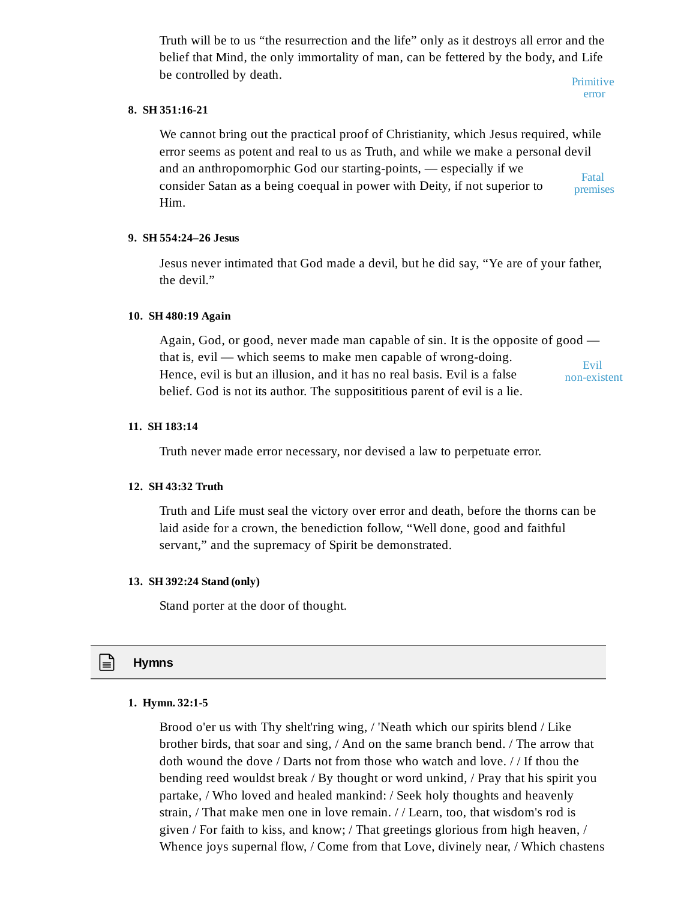Truth will be to us "the resurrection and the life" only as it destroys all error and the belief that Mind, the only immortality of man, can be fettered by the body, and Life be controlled by death.

Primitive error

# **8. SH 351:16-21**

We cannot bring out the practical proof of Christianity, which Jesus required, while error seems as potent and real to us as Truth, and while we make a personal devil and an anthropomorphic God our starting-points, — especially if we consider Satan as a being coequal in power with Deity, if not superior to Him. Fatal premises

## **9. SH 554:24–26 Jesus**

Jesus never intimated that God made a devil, but he did say, "Ye are of your father, the devil."

# **10. SH 480:19 Again**

Again, God, or good, never made man capable of sin. It is the opposite of good that is, evil — which seems to make men capable of wrong-doing. Hence, evil is but an illusion, and it has no real basis. Evil is a false belief. God is not its author. The supposititious parent of evil is a lie. Evil non-existent

# **11. SH 183:14**

Truth never made error necessary, nor devised a law to perpetuate error.

## **12. SH 43:32 Truth**

Truth and Life must seal the victory over error and death, before the thorns can be laid aside for a crown, the benediction follow, "Well done, good and faithful servant," and the supremacy of Spirit be demonstrated.

## **13. SH 392:24 Stand (only)**

Stand porter at the door of thought.

# **Hymns**

## **1. Hymn. 32:1-5**

Brood o'er us with Thy shelt'ring wing, / 'Neath which our spirits blend / Like brother birds, that soar and sing, / And on the same branch bend. / The arrow that doth wound the dove / Darts not from those who watch and love. / / If thou the bending reed wouldst break / By thought or word unkind, / Pray that his spirit you partake, / Who loved and healed mankind: / Seek holy thoughts and heavenly strain, / That make men one in love remain. / / Learn, too, that wisdom's rod is given / For faith to kiss, and know; / That greetings glorious from high heaven, / Whence joys supernal flow, / Come from that Love, divinely near, / Which chastens